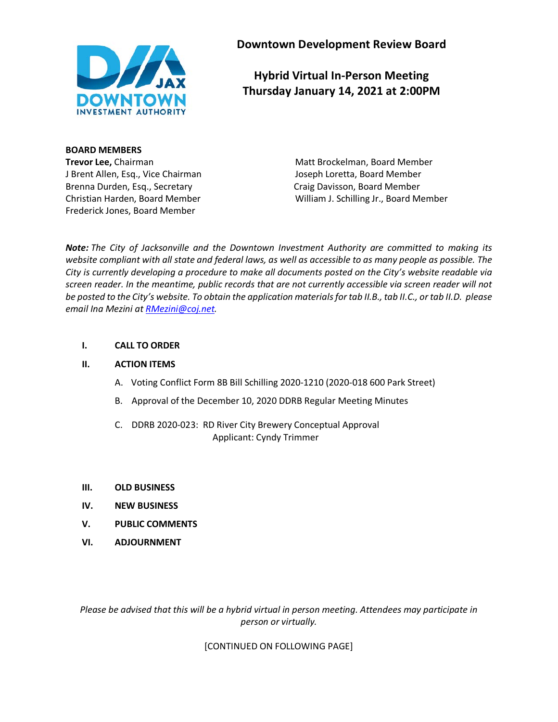

**Downtown Development Review Board**

**Hybrid Virtual In-Person Meeting Thursday January 14, 2021 at 2:00PM**

**BOARD MEMBERS** J Brent Allen, Esq., Vice Chairman Joseph Loretta, Board Member Brenna Durden, Esq., Secretary Craig Davisson, Board Member Frederick Jones, Board Member

**Trevor Lee,** Chairman Matt Brockelman, Board Member Christian Harden, Board Member William J. Schilling Jr., Board Member

*Note: The City of Jacksonville and the Downtown Investment Authority are committed to making its website compliant with all state and federal laws, as well as accessible to as many people as possible. The City is currently developing a procedure to make all documents posted on the City's website readable via screen reader. In the meantime, public records that are not currently accessible via screen reader will not be posted to the City's website. To obtain the application materials for tab II.B., tab II.C., or tab II.D. please email Ina Mezini a[t RMezini@coj.net.](mailto:RMezini@coj.net)*

## **I. CALL TO ORDER**

#### **II. ACTION ITEMS**

- A. Voting Conflict Form 8B Bill Schilling 2020-1210 (2020-018 600 Park Street)
- B. Approval of the December 10, 2020 DDRB Regular Meeting Minutes
- C. DDRB 2020-023: RD River City Brewery Conceptual Approval Applicant: Cyndy Trimmer
- **III. OLD BUSINESS**
- **IV. NEW BUSINESS**
- **V. PUBLIC COMMENTS**
- **VI. ADJOURNMENT**

*Please be advised that this will be a hybrid virtual in person meeting. Attendees may participate in person or virtually.*

[CONTINUED ON FOLLOWING PAGE]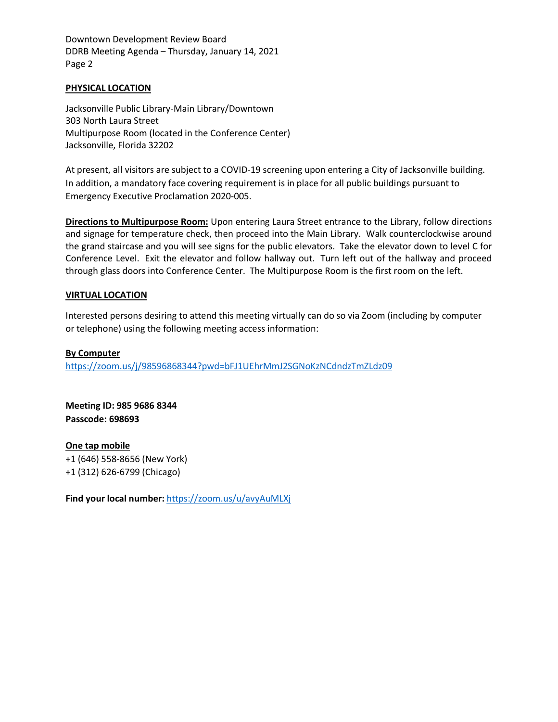Downtown Development Review Board DDRB Meeting Agenda – Thursday, January 14, 2021 Page 2

#### **PHYSICAL LOCATION**

Jacksonville Public Library-Main Library/Downtown 303 North Laura Street Multipurpose Room (located in the Conference Center) Jacksonville, Florida 32202

At present, all visitors are subject to a COVID-19 screening upon entering a City of Jacksonville building. In addition, a mandatory face covering requirement is in place for all public buildings pursuant to Emergency Executive Proclamation 2020-005.

**Directions to Multipurpose Room:** Upon entering Laura Street entrance to the Library, follow directions and signage for temperature check, then proceed into the Main Library. Walk counterclockwise around the grand staircase and you will see signs for the public elevators. Take the elevator down to level C for Conference Level. Exit the elevator and follow hallway out. Turn left out of the hallway and proceed through glass doors into Conference Center. The Multipurpose Room is the first room on the left.

#### **VIRTUAL LOCATION**

Interested persons desiring to attend this meeting virtually can do so via Zoom (including by computer or telephone) using the following meeting access information:

#### **By Computer**

<https://zoom.us/j/98596868344?pwd=bFJ1UEhrMmJ2SGNoKzNCdndzTmZLdz09>

**Meeting ID: 985 9686 8344 Passcode: 698693**

**One tap mobile** +1 (646) 558-8656 (New York) +1 (312) 626-6799 (Chicago)

**Find your local number:** <https://zoom.us/u/avyAuMLXj>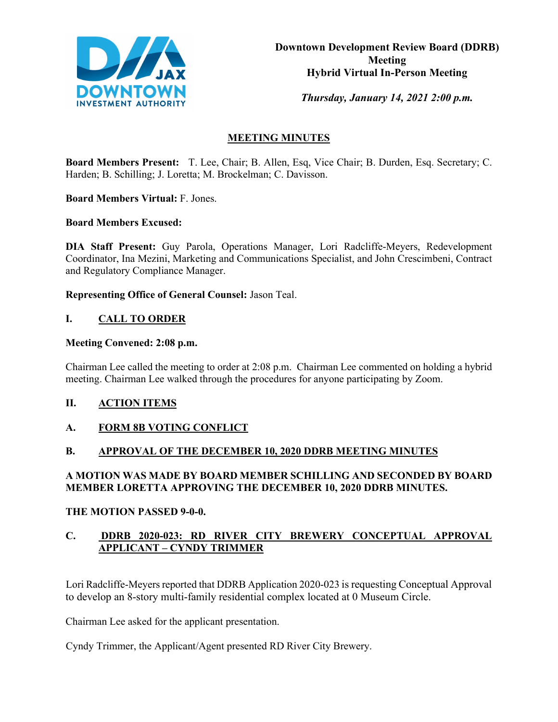

*Thursday, January 14, 2021 2:00 p.m.* 

# **MEETING MINUTES**

**Board Members Present:** T. Lee, Chair; B. Allen, Esq, Vice Chair; B. Durden, Esq. Secretary; C. Harden; B. Schilling; J. Loretta; M. Brockelman; C. Davisson.

**Board Members Virtual:** F. Jones.

**Board Members Excused:**

**DIA Staff Present:** Guy Parola, Operations Manager, Lori Radcliffe-Meyers, Redevelopment Coordinator, Ina Mezini, Marketing and Communications Specialist, and John Crescimbeni, Contract and Regulatory Compliance Manager.

**Representing Office of General Counsel:** Jason Teal.

# **I. CALL TO ORDER**

## **Meeting Convened: 2:08 p.m.**

Chairman Lee called the meeting to order at 2:08 p.m. Chairman Lee commented on holding a hybrid meeting. Chairman Lee walked through the procedures for anyone participating by Zoom.

# **II. ACTION ITEMS**

# **A. FORM 8B VOTING CONFLICT**

# **B. APPROVAL OF THE DECEMBER 10, 2020 DDRB MEETING MINUTES**

# **A MOTION WAS MADE BY BOARD MEMBER SCHILLING AND SECONDED BY BOARD MEMBER LORETTA APPROVING THE DECEMBER 10, 2020 DDRB MINUTES.**

## **THE MOTION PASSED 9-0-0.**

# **C. DDRB 2020-023: RD RIVER CITY BREWERY CONCEPTUAL APPROVAL APPLICANT – CYNDY TRIMMER**

Lori Radcliffe-Meyers reported that DDRB Application 2020-023 is requesting Conceptual Approval to develop an 8-story multi-family residential complex located at 0 Museum Circle.

Chairman Lee asked for the applicant presentation.

Cyndy Trimmer, the Applicant/Agent presented RD River City Brewery.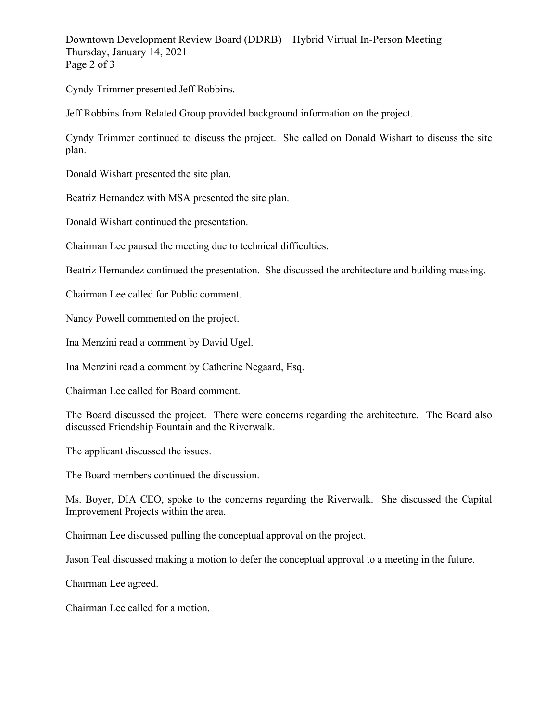Downtown Development Review Board (DDRB) – Hybrid Virtual In-Person Meeting Thursday, January 14, 2021 Page 2 of 3

Cyndy Trimmer presented Jeff Robbins.

Jeff Robbins from Related Group provided background information on the project.

Cyndy Trimmer continued to discuss the project. She called on Donald Wishart to discuss the site plan.

Donald Wishart presented the site plan.

Beatriz Hernandez with MSA presented the site plan.

Donald Wishart continued the presentation.

Chairman Lee paused the meeting due to technical difficulties.

Beatriz Hernandez continued the presentation. She discussed the architecture and building massing.

Chairman Lee called for Public comment.

Nancy Powell commented on the project.

Ina Menzini read a comment by David Ugel.

Ina Menzini read a comment by Catherine Negaard, Esq.

Chairman Lee called for Board comment.

The Board discussed the project. There were concerns regarding the architecture. The Board also discussed Friendship Fountain and the Riverwalk.

The applicant discussed the issues.

The Board members continued the discussion.

Ms. Boyer, DIA CEO, spoke to the concerns regarding the Riverwalk. She discussed the Capital Improvement Projects within the area.

Chairman Lee discussed pulling the conceptual approval on the project.

Jason Teal discussed making a motion to defer the conceptual approval to a meeting in the future.

Chairman Lee agreed.

Chairman Lee called for a motion.